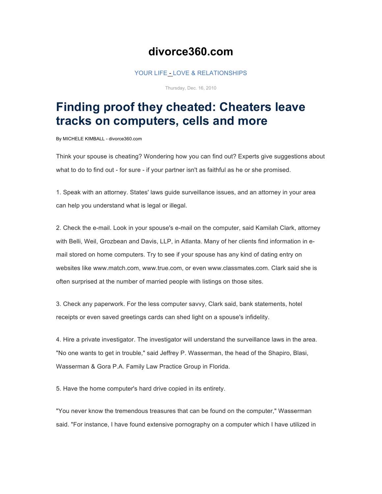## **divorce360.com**

## YOUR LIFE - LOVE & RELATIONSHIPS

Thursday, Dec. 16, 2010

## **Finding proof they cheated: Cheaters leave tracks on computers, cells and more**

By MICHELE KIMBALL - divorce360.com

Think your spouse is cheating? Wondering how you can find out? Experts give suggestions about what to do to find out - for sure - if your partner isn't as faithful as he or she promised.

1. Speak with an attorney. States' laws guide surveillance issues, and an attorney in your area can help you understand what is legal or illegal.

2. Check the e-mail. Look in your spouse's e-mail on the computer, said Kamilah Clark, attorney with Belli, Weil, Grozbean and Davis, LLP, in Atlanta. Many of her clients find information in email stored on home computers. Try to see if your spouse has any kind of dating entry on websites like www.match.com, www.true.com, or even www.classmates.com. Clark said she is often surprised at the number of married people with listings on those sites.

3. Check any paperwork. For the less computer savvy, Clark said, bank statements, hotel receipts or even saved greetings cards can shed light on a spouse's infidelity.

4. Hire a private investigator. The investigator will understand the surveillance laws in the area. "No one wants to get in trouble," said Jeffrey P. Wasserman, the head of the Shapiro, Blasi, Wasserman & Gora P.A. Family Law Practice Group in Florida.

5. Have the home computer's hard drive copied in its entirety.

"You never know the tremendous treasures that can be found on the computer," Wasserman said. "For instance, I have found extensive pornography on a computer which I have utilized in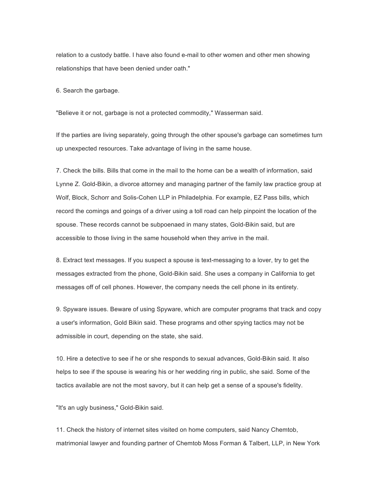relation to a custody battle. I have also found e-mail to other women and other men showing relationships that have been denied under oath."

6. Search the garbage.

"Believe it or not, garbage is not a protected commodity," Wasserman said.

If the parties are living separately, going through the other spouse's garbage can sometimes turn up unexpected resources. Take advantage of living in the same house.

7. Check the bills. Bills that come in the mail to the home can be a wealth of information, said Lynne Z. Gold-Bikin, a divorce attorney and managing partner of the family law practice group at Wolf, Block, Schorr and Solis-Cohen LLP in Philadelphia. For example, EZ Pass bills, which record the comings and goings of a driver using a toll road can help pinpoint the location of the spouse. These records cannot be subpoenaed in many states, Gold-Bikin said, but are accessible to those living in the same household when they arrive in the mail.

8. Extract text messages. If you suspect a spouse is text-messaging to a lover, try to get the messages extracted from the phone, Gold-Bikin said. She uses a company in California to get messages off of cell phones. However, the company needs the cell phone in its entirety.

9. Spyware issues. Beware of using Spyware, which are computer programs that track and copy a user's information, Gold Bikin said. These programs and other spying tactics may not be admissible in court, depending on the state, she said.

10. Hire a detective to see if he or she responds to sexual advances, Gold-Bikin said. It also helps to see if the spouse is wearing his or her wedding ring in public, she said. Some of the tactics available are not the most savory, but it can help get a sense of a spouse's fidelity.

"It's an ugly business," Gold-Bikin said.

11. Check the history of internet sites visited on home computers, said Nancy Chemtob, matrimonial lawyer and founding partner of Chemtob Moss Forman & Talbert, LLP, in New York